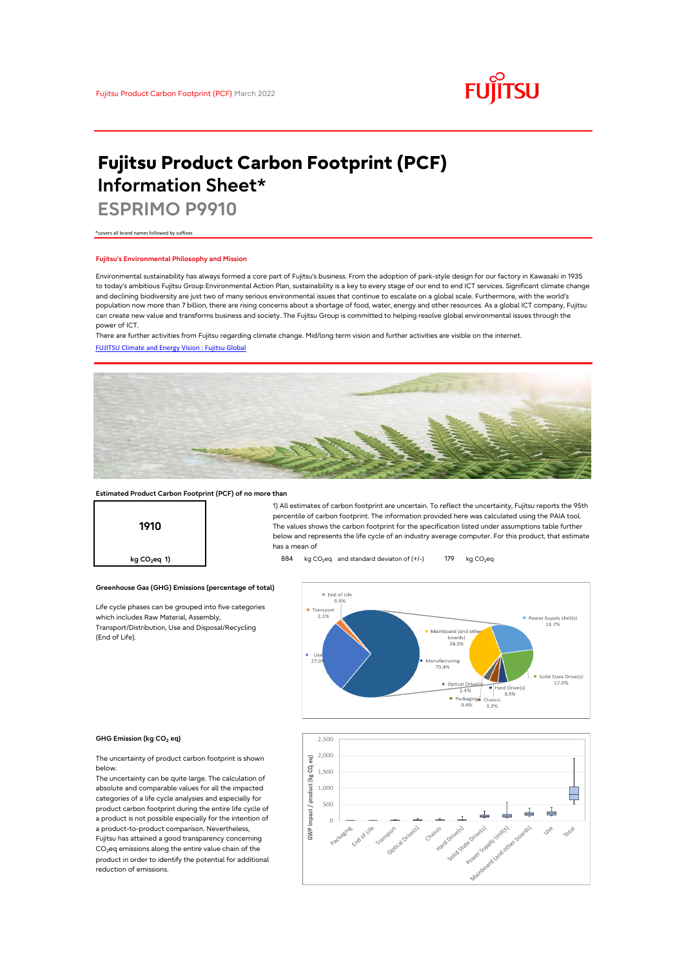

# **Fujitsu Product Carbon Footprint (PCF) Information Sheet\***

**ESPRIMO P9910**

\*covers all brand names followed by suffixes

## **Fujitsu's Environmental Philosophy and Mission**

Environmental sustainability has always formed a core part of Fujitsu's business. From the adoption of park-style design for our factory in Kawasaki in 1935 to today's ambitious Fujitsu Group Environmental Action Plan, sustainability is a key to every stage of our end to end ICT services. Significant climate change and declining biodiversity are just two of many serious environmental issues that continue to escalate on a global scale. Furthermore, with the world's population now more than 7 billion, there are rising concerns about a shortage of food, water, energy and other resources. As a global ICT company, Fujitsu can create new value and transforms business and society. The Fujitsu Group is committed to helping resolve global environmental issues through the power of ICT.

[FUJITSU Climate and Energy Vision : Fujitsu Global](https://www.fujitsu.com/global/about/environment/climate-energy-vision/) There are further activities from Fujitsu regarding climate change. Mid/long term vision and further activities are visible on the internet.



## **Estimated Product Carbon Footprint (PCF) of no more than**

**Greenhouse Gas (GHG) Emissions (percentage of total)**

Life cycle phases can be grouped into five categories

which includes Raw Material, Assembly, Transport/Distribution, Use and Disposal/Recycling



1) All estimates of carbon footprint are uncertain. To reflect the uncertainty, Fujitsu reports the 95th percentile of carbon footprint. The information provided here was calculated using the PAIA tool. The values shows the carbon footprint for the specification listed under assumptions table further below and represents the life cycle of an industry average computer. For this product, that estimate has a mean of

**kg CO<sub>2</sub>eq 1) a b 884** kg CO<sub>2</sub>eq and standard deviaton of (+/-) 179 kg CO<sub>2</sub>eq



#### **GHG Emission (kg CO2 eq)**

(End of Life).

The uncertainty of product carbon footprint is shown below.

The uncertainty can be quite large. The calculation of absolute and comparable values for all the impacted categories of a life cycle analysies and especially for product carbon footprint during the entire life cycle of a product is not possible especially for the intention of a product-to-product comparison. Nevertheless, Fujitsu has attained a good transparency concerning CO<sub>2</sub>eq emissions along the entire value chain of the product in order to identify the potential for additional reduction of emissions.